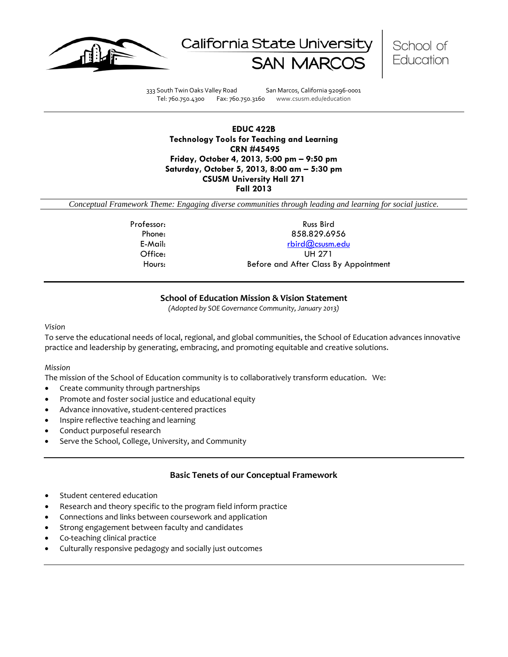





333 South Twin Oaks Valley Road San Marcos, California 92096-0001 Tel: 760.750.4300 Fax: 760.750.3160 www.csusm.edu/education

**EDUC 422B Technology Tools for Teaching and Learning CRN #45495 Friday, October 4, 2013, 5:00 pm – 9:50 pm Saturday, October 5, 2013, 8:00 am – 5:30 pm CSUSM University Hall 271 Fall 2013** 

*Conceptual Framework Theme: Engaging diverse communities through leading and learning for social justice.*

Professor: Russ Bird Phone: 858.829.6956 E-Mail: [rbird@csusm.edu](mailto:rbird@csusm.edu) Office: UH 271 Hours: Before and After Class By Appointment

### **School of Education Mission & Vision Statement**

*(Adopted by SOE Governance Community, January 2013)*

#### *Vision*

To serve the educational needs of local, regional, and global communities, the School of Education advances innovative practice and leadership by generating, embracing, and promoting equitable and creative solutions.

#### *Mission*

The mission of the School of Education community is to collaboratively transform education. We:

- Create community through partnerships
- Promote and foster social justice and educational equity
- Advance innovative, student-centered practices
- Inspire reflective teaching and learning
- Conduct purposeful research
- Serve the School, College, University, and Community

### **Basic Tenets of our Conceptual Framework**

- Student centered education
- Research and theory specific to the program field inform practice
- Connections and links between coursework and application
- Strong engagement between faculty and candidates
- Co-teaching clinical practice
- Culturally responsive pedagogy and socially just outcomes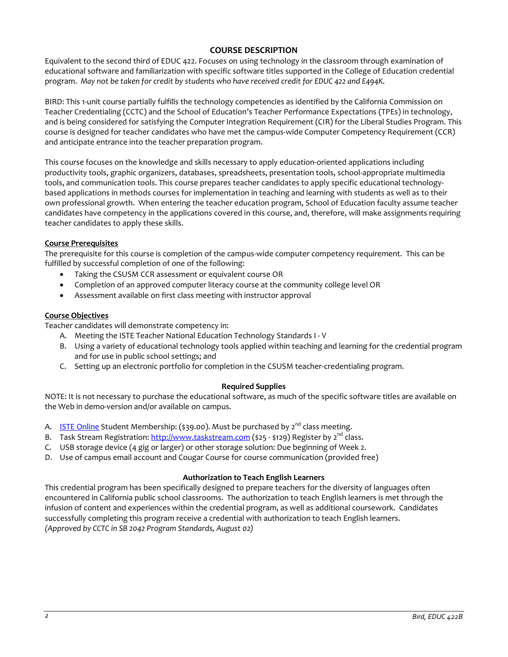## **COURSE DESCRIPTION**

Equivalent to the second third of EDUC 422. Focuses on using technology in the classroom through examination of educational software and familiarization with specific software titles supported in the College of Education credential program. *May not be taken for credit by students who have received credit for EDUC 422 and E494K.*

BIRD: This 1-unit course partially fulfills the technology competencies as identified by the California Commission on Teacher Credentialing (CCTC) and the School of Education's Teacher Performance Expectations (TPEs) in technology, and is being considered for satisfying the Computer Integration Requirement (CIR) for the Liberal Studies Program. This course is designed for teacher candidates who have met the campus-wide Computer Competency Requirement (CCR) and anticipate entrance into the teacher preparation program.

This course focuses on the knowledge and skills necessary to apply education-oriented applications including productivity tools, graphic organizers, databases, spreadsheets, presentation tools, school-appropriate multimedia tools, and communication tools. This course prepares teacher candidates to apply specific educational technologybased applications in methods courses for implementation in teaching and learning with students as well as to their own professional growth. When entering the teacher education program, School of Education faculty assume teacher candidates have competency in the applications covered in this course, and, therefore, will make assignments requiring teacher candidates to apply these skills.

### **Course Prerequisites**

The prerequisite for this course is completion of the campus-wide computer competency requirement. This can be fulfilled by successful completion of one of the following:

- Taking the CSUSM CCR assessment or equivalent course OR
- Completion of an approved computer literacy course at the community college level OR
- Assessment available on first class meeting with instructor approval

#### **Course Objectives**

Teacher candidates will demonstrate competency in:

- A. Meeting the ISTE Teacher National Education Technology Standards I V
- B. Using a variety of educational technology tools applied within teaching and learning for the credential program and for use in public school settings; and
- C. Setting up an electronic portfolio for completion in the CSUSM teacher-credentialing program.

### **Required Supplies**

NOTE: It is not necessary to purchase the educational software, as much of the specific software titles are available on the Web in demo-version and/or available on campus.

- A. **[ISTE Online](http://www.google.com/url?q=http%3A%2F%2Fwww.iste.org&sa=D&sntz=1&usg=AFQjCNF6stTT3JrR7_WM904Vk5P6PItkKg) Student Membership:** (\$39.00). Must be purchased by  $2^{nd}$  class meeting.
- B. Task Stream Registration: [http://www.taskstream.com](http://www.google.com/url?q=http%3A%2F%2Fwww.taskstream.com&sa=D&sntz=1&usg=AFQjCNHOd15IzWSqImfDsL6_OUheLA7dqA) (\$25 \$129) Register by  $2^{nd}$  class.
- C. USB storage device (4 gig or larger) or other storage solution: Due beginning of Week 2.
- D. Use of campus email account and Cougar Course for course communication (provided free)

### **Authorization to Teach English Learners**

This credential program has been specifically designed to prepare teachers for the diversity of languages often encountered in California public school classrooms. The authorization to teach English learners is met through the infusion of content and experiences within the credential program, as well as additional coursework. Candidates successfully completing this program receive a credential with authorization to teach English learners. *(Approved by CCTC in SB 2042 Program Standards, August 02)*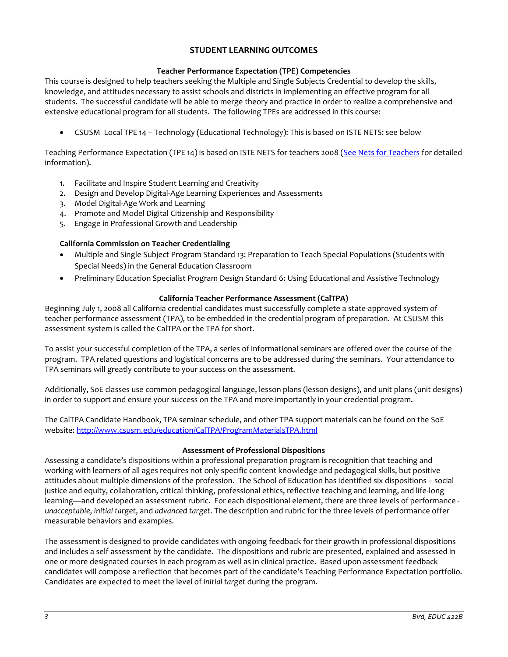# **STUDENT LEARNING OUTCOMES**

### **Teacher Performance Expectation (TPE) Competencies**

This course is designed to help teachers seeking the Multiple and Single Subjects Credential to develop the skills, knowledge, and attitudes necessary to assist schools and districts in implementing an effective program for all students. The successful candidate will be able to merge theory and practice in order to realize a comprehensive and extensive educational program for all students. The following TPEs are addressed in this course:

• CSUSM Local TPE 14 – Technology (Educational Technology): This is based on ISTE NETS: see below

Teaching Performance Expectation (TPE 14) is based on ISTE NETS for teachers 2008 [\(See Nets for Teachers](http://www.google.com/url?q=http%3A%2F%2Fwww.iste.org%2FContent%2FNavigationMenu%2FNETS%2FForTeachers%2F2008Standards%2FNETS_T_Standards_Final.pdf&sa=D&sntz=1&usg=AFQjCNEz4PHdtAi9l905hV3nyMzx8A1RQg) for detailed information).

- 1. Facilitate and Inspire Student Learning and Creativity
- 2. Design and Develop Digital-Age Learning Experiences and Assessments
- 3. Model Digital-Age Work and Learning
- 4. Promote and Model Digital Citizenship and Responsibility
- 5. Engage in Professional Growth and Leadership

### **California Commission on Teacher Credentialing**

- Multiple and Single Subject Program Standard 13: Preparation to Teach Special Populations (Students with Special Needs) in the General Education Classroom
- Preliminary Education Specialist Program Design Standard 6: Using Educational and Assistive Technology

### **California Teacher Performance Assessment (CalTPA)**

Beginning July 1, 2008 all California credential candidates must successfully complete a state-approved system of teacher performance assessment (TPA), to be embedded in the credential program of preparation. At CSUSM this assessment system is called the CalTPA or the TPA for short.

To assist your successful completion of the TPA, a series of informational seminars are offered over the course of the program. TPA related questions and logistical concerns are to be addressed during the seminars. Your attendance to TPA seminars will greatly contribute to your success on the assessment.

Additionally, SoE classes use common pedagogical language, lesson plans (lesson designs), and unit plans (unit designs) in order to support and ensure your success on the TPA and more importantly in your credential program.

The CalTPA Candidate Handbook, TPA seminar schedule, and other TPA support materials can be found on the SoE website: <http://www.csusm.edu/education/CalTPA/ProgramMaterialsTPA.html>

### **Assessment of Professional Dispositions**

Assessing a candidate's dispositions within a professional preparation program is recognition that teaching and working with learners of all ages requires not only specific content knowledge and pedagogical skills, but positive attitudes about multiple dimensions of the profession. The School of Education has identified six dispositions – social justice and equity, collaboration, critical thinking, professional ethics, reflective teaching and learning, and life-long learning—and developed an assessment rubric. For each dispositional element, there are three levels of performance *unacceptable*, *initial target*, and *advanced target*. The description and rubric for the three levels of performance offer measurable behaviors and examples.

The assessment is designed to provide candidates with ongoing feedback for their growth in professional dispositions and includes a self-assessment by the candidate. The dispositions and rubric are presented, explained and assessed in one or more designated courses in each program as well as in clinical practice. Based upon assessment feedback candidates will compose a reflection that becomes part of the candidate's Teaching Performance Expectation portfolio. Candidates are expected to meet the level of *initial target* during the program.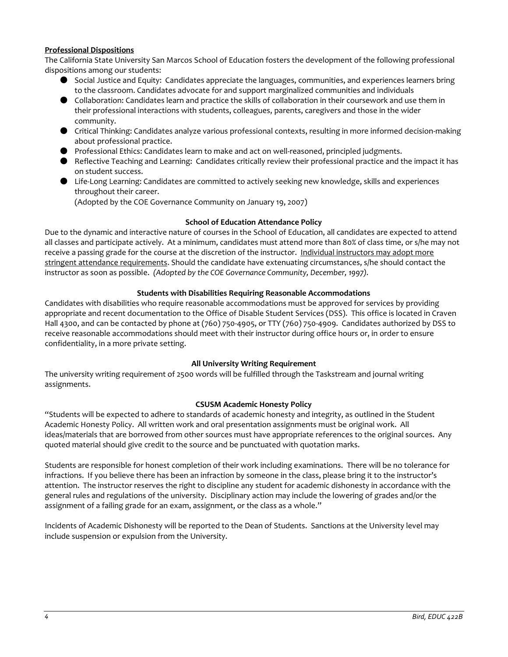### **Professional Dispositions**

The California State University San Marcos School of Education fosters the development of the following professional dispositions among our students:

- Social Justice and Equity: Candidates appreciate the languages, communities, and experiences learners bring to the classroom. Candidates advocate for and support marginalized communities and individuals
- Collaboration: Candidates learn and practice the skills of collaboration in their coursework and use them in their professional interactions with students, colleagues, parents, caregivers and those in the wider community.
- Critical Thinking: Candidates analyze various professional contexts, resulting in more informed decision-making about professional practice.
- Professional Ethics: Candidates learn to make and act on well-reasoned, principled judgments.
- Reflective Teaching and Learning: Candidates critically review their professional practice and the impact it has on student success.
- Life-Long Learning: Candidates are committed to actively seeking new knowledge, skills and experiences throughout their career.

(Adopted by the COE Governance Community on January 19, 2007)

### **School of Education Attendance Policy**

Due to the dynamic and interactive nature of courses in the School of Education, all candidates are expected to attend all classes and participate actively. At a minimum, candidates must attend more than 80% of class time, or s/he may not receive a passing grade for the course at the discretion of the instructor. Individual instructors may adopt more stringent attendance requirements. Should the candidate have extenuating circumstances, s/he should contact the instructor as soon as possible. *(Adopted by the COE Governance Community, December, 1997).*

### **Students with Disabilities Requiring Reasonable Accommodations**

Candidates with disabilities who require reasonable accommodations must be approved for services by providing appropriate and recent documentation to the Office of Disable Student Services (DSS). This office is located in Craven Hall 4300, and can be contacted by phone at (760) 750-4905, or TTY (760) 750-4909. Candidates authorized by DSS to receive reasonable accommodations should meet with their instructor during office hours or, in order to ensure confidentiality, in a more private setting.

### **All University Writing Requirement**

The university writing requirement of 2500 words will be fulfilled through the Taskstream and journal writing assignments.

### **CSUSM Academic Honesty Policy**

"Students will be expected to adhere to standards of academic honesty and integrity, as outlined in the Student Academic Honesty Policy. All written work and oral presentation assignments must be original work. All ideas/materials that are borrowed from other sources must have appropriate references to the original sources. Any quoted material should give credit to the source and be punctuated with quotation marks.

Students are responsible for honest completion of their work including examinations. There will be no tolerance for infractions. If you believe there has been an infraction by someone in the class, please bring it to the instructor's attention. The instructor reserves the right to discipline any student for academic dishonesty in accordance with the general rules and regulations of the university. Disciplinary action may include the lowering of grades and/or the assignment of a failing grade for an exam, assignment, or the class as a whole."

Incidents of Academic Dishonesty will be reported to the Dean of Students. Sanctions at the University level may include suspension or expulsion from the University.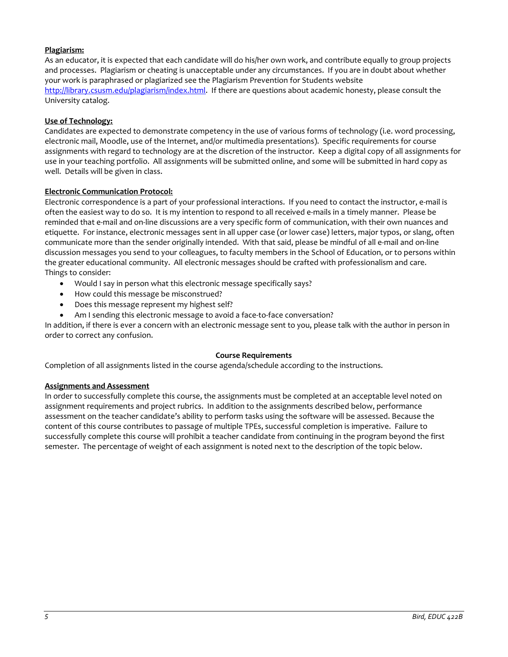# **Plagiarism:**

As an educator, it is expected that each candidate will do his/her own work, and contribute equally to group projects and processes. Plagiarism or cheating is unacceptable under any circumstances. If you are in doubt about whether your work is paraphrased or plagiarized see the Plagiarism Prevention for Students website [http://library.csusm.edu/plagiarism/index.html.](http://library.csusm.edu/plagiarism/index.html) If there are questions about academic honesty, please consult the University catalog.

### **Use of Technology:**

Candidates are expected to demonstrate competency in the use of various forms of technology (i.e. word processing, electronic mail, Moodle, use of the Internet, and/or multimedia presentations). Specific requirements for course assignments with regard to technology are at the discretion of the instructor. Keep a digital copy of all assignments for use in your teaching portfolio. All assignments will be submitted online, and some will be submitted in hard copy as well. Details will be given in class.

### **Electronic Communication Protocol:**

Electronic correspondence is a part of your professional interactions. If you need to contact the instructor, e-mail is often the easiest way to do so. It is my intention to respond to all received e-mails in a timely manner. Please be reminded that e-mail and on-line discussions are a very specific form of communication, with their own nuances and etiquette. For instance, electronic messages sent in all upper case (or lower case) letters, major typos, or slang, often communicate more than the sender originally intended. With that said, please be mindful of all e-mail and on-line discussion messages you send to your colleagues, to faculty members in the School of Education, or to persons within the greater educational community. All electronic messages should be crafted with professionalism and care. Things to consider:

- Would I say in person what this electronic message specifically says?
- How could this message be misconstrued?
- Does this message represent my highest self?
- Am I sending this electronic message to avoid a face-to-face conversation?

In addition, if there is ever a concern with an electronic message sent to you, please talk with the author in person in order to correct any confusion.

### **Course Requirements**

Completion of all assignments listed in the course agenda/schedule according to the instructions.

### **Assignments and Assessment**

In order to successfully complete this course, the assignments must be completed at an acceptable level noted on assignment requirements and project rubrics. In addition to the assignments described below, performance assessment on the teacher candidate's ability to perform tasks using the software will be assessed. Because the content of this course contributes to passage of multiple TPEs, successful completion is imperative. Failure to successfully complete this course will prohibit a teacher candidate from continuing in the program beyond the first semester. The percentage of weight of each assignment is noted next to the description of the topic below.